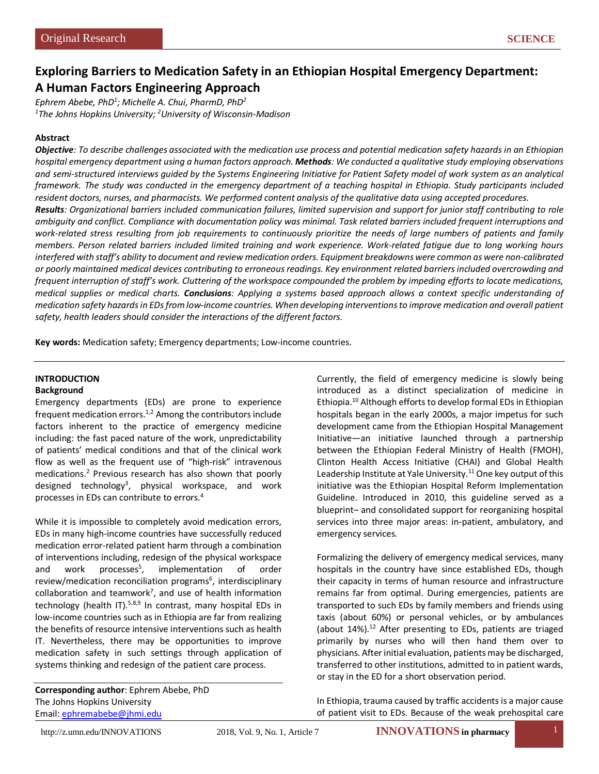# **Exploring Barriers to Medication Safety in an Ethiopian Hospital Emergency Department: A Human Factors Engineering Approach**

*Ephrem Abebe, PhD1 ; Michelle A. Chui, PharmD, PhD2 1 The Johns Hopkins University; 2 University of Wisconsin-Madison*

# **Abstract**

*Objective: To describe challenges associated with the medication use process and potential medication safety hazards in an Ethiopian hospital emergency department using a human factors approach. Methods: We conducted a qualitative study employing observations and semi-structured interviews guided by the Systems Engineering Initiative for Patient Safety model of work system as an analytical framework. The study was conducted in the emergency department of a teaching hospital in Ethiopia. Study participants included resident doctors, nurses, and pharmacists. We performed content analysis of the qualitative data using accepted procedures. Results: Organizational barriers included communication failures, limited supervision and support for junior staff contributing to role ambiguity and conflict. Compliance with documentation policy was minimal. Task related barriers included frequent interruptions and work-related stress resulting from job requirements to continuously prioritize the needs of large numbers of patients and family members. Person related barriers included limited training and work experience. Work-related fatigue due to long working hours interfered with staff's ability to document and review medication orders. Equipment breakdowns were common as were non-calibrated or poorly maintained medical devices contributing to erroneous readings. Key environment related barriers included overcrowding and frequent interruption of staff's work. Cluttering of the workspace compounded the problem by impeding efforts to locate medications, medical supplies or medical charts. Conclusions: Applying a systems based approach allows a context specific understanding of medication safety hazards in EDs from low-income countries. When developing interventions to improve medication and overall patient safety, health leaders should consider the interactions of the different factors.* 

**Key words:** Medication safety; Emergency departments; Low-income countries.

# **INTRODUCTION**

# **Background**

Emergency departments (EDs) are prone to experience frequent medication errors.1,2 Among the contributors include factors inherent to the practice of emergency medicine including: the fast paced nature of the work, unpredictability of patients' medical conditions and that of the clinical work flow as well as the frequent use of "high-risk" intravenous medications.2 Previous research has also shown that poorly designed technology<sup>3</sup>, physical workspace, and work processes in EDs can contribute to errors.4

While it is impossible to completely avoid medication errors, EDs in many high-income countries have successfully reduced medication error-related patient harm through a combination of interventions including, redesign of the physical workspace and work processes<sup>5</sup>, implementation of order review/medication reconciliation programs<sup>6</sup>, interdisciplinary  $collaboration$  and teamwork<sup>7</sup>, and use of health information technology (health IT). $5,8,9$  In contrast, many hospital EDs in low-income countries such as in Ethiopia are far from realizing the benefits of resource intensive interventions such as health IT. Nevertheless, there may be opportunities to improve medication safety in such settings through application of systems thinking and redesign of the patient care process.

**Corresponding author**: Ephrem Abebe, PhD The Johns Hopkins University Email[: ephremabebe@jhmi.edu](mailto:ephremabebe@jhmi.edu)

Currently, the field of emergency medicine is slowly being introduced as a distinct specialization of medicine in Ethiopia.10 Although efforts to develop formal EDs in Ethiopian hospitals began in the early 2000s, a major impetus for such development came from the Ethiopian Hospital Management Initiative—an initiative launched through a partnership between the Ethiopian Federal Ministry of Health (FMOH), Clinton Health Access Initiative (CHAI) and Global Health Leadership Institute at Yale University. $11$  One key output of this initiative was the Ethiopian Hospital Reform Implementation Guideline. Introduced in 2010, this guideline served as a blueprint– and consolidated support for reorganizing hospital services into three major areas: in-patient, ambulatory, and emergency services.

Formalizing the delivery of emergency medical services, many hospitals in the country have since established EDs, though their capacity in terms of human resource and infrastructure remains far from optimal. During emergencies, patients are transported to such EDs by family members and friends using taxis (about 60%) or personal vehicles, or by ambulances (about 14%).<sup>12</sup> After presenting to EDs, patients are triaged primarily by nurses who will then hand them over to physicians. After initial evaluation, patients may be discharged, transferred to other institutions, admitted to in patient wards, or stay in the ED for a short observation period.

In Ethiopia, trauma caused by traffic accidents is a major cause of patient visit to EDs. Because of the weak prehospital care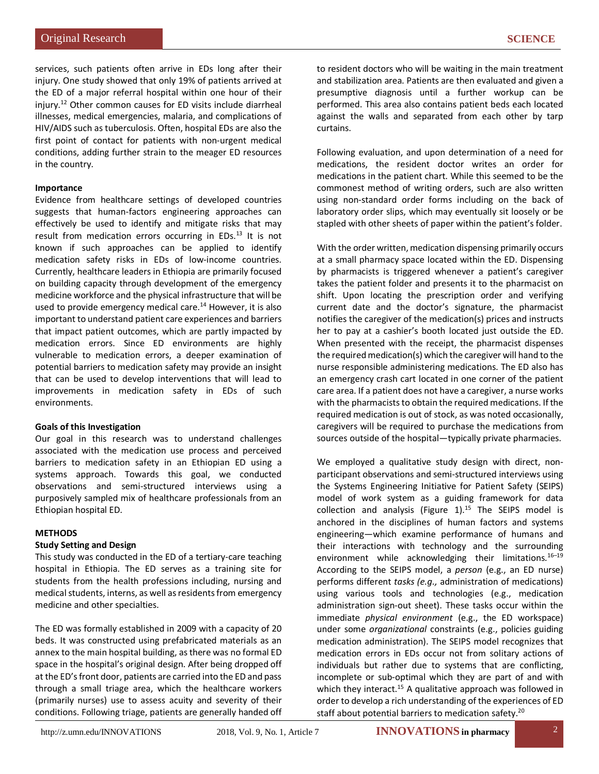services, such patients often arrive in EDs long after their injury. One study showed that only 19% of patients arrived at the ED of a major referral hospital within one hour of their injury.12 Other common causes for ED visits include diarrheal illnesses, medical emergencies, malaria, and complications of HIV/AIDS such as tuberculosis. Often, hospital EDs are also the first point of contact for patients with non-urgent medical conditions, adding further strain to the meager ED resources in the country.

## **Importance**

Evidence from healthcare settings of developed countries suggests that human-factors engineering approaches can effectively be used to identify and mitigate risks that may result from medication errors occurring in EDs.13 It is not known if such approaches can be applied to identify medication safety risks in EDs of low-income countries. Currently, healthcare leaders in Ethiopia are primarily focused on building capacity through development of the emergency medicine workforce and the physical infrastructure that will be used to provide emergency medical care.<sup>14</sup> However, it is also important to understand patient care experiences and barriers that impact patient outcomes, which are partly impacted by medication errors. Since ED environments are highly vulnerable to medication errors, a deeper examination of potential barriers to medication safety may provide an insight that can be used to develop interventions that will lead to improvements in medication safety in EDs of such environments.

# **Goals of this Investigation**

Our goal in this research was to understand challenges associated with the medication use process and perceived barriers to medication safety in an Ethiopian ED using a systems approach. Towards this goal, we conducted observations and semi-structured interviews using a purposively sampled mix of healthcare professionals from an Ethiopian hospital ED.

# **METHODS**

# **Study Setting and Design**

This study was conducted in the ED of a tertiary-care teaching hospital in Ethiopia. The ED serves as a training site for students from the health professions including, nursing and medical students, interns, as well as residents from emergency medicine and other specialties.

The ED was formally established in 2009 with a capacity of 20 beds. It was constructed using prefabricated materials as an annex to the main hospital building, as there was no formal ED space in the hospital's original design. After being dropped off at the ED's front door, patients are carried into the ED and pass through a small triage area, which the healthcare workers (primarily nurses) use to assess acuity and severity of their conditions. Following triage, patients are generally handed off to resident doctors who will be waiting in the main treatment and stabilization area. Patients are then evaluated and given a presumptive diagnosis until a further workup can be performed. This area also contains patient beds each located against the walls and separated from each other by tarp curtains.

Following evaluation, and upon determination of a need for medications, the resident doctor writes an order for medications in the patient chart. While this seemed to be the commonest method of writing orders, such are also written using non-standard order forms including on the back of laboratory order slips, which may eventually sit loosely or be stapled with other sheets of paper within the patient's folder.

With the order written, medication dispensing primarily occurs at a small pharmacy space located within the ED. Dispensing by pharmacists is triggered whenever a patient's caregiver takes the patient folder and presents it to the pharmacist on shift. Upon locating the prescription order and verifying current date and the doctor's signature, the pharmacist notifies the caregiver of the medication(s) prices and instructs her to pay at a cashier's booth located just outside the ED. When presented with the receipt, the pharmacist dispenses the required medication(s) which the caregiver will hand to the nurse responsible administering medications. The ED also has an emergency crash cart located in one corner of the patient care area. If a patient does not have a caregiver, a nurse works with the pharmacists to obtain the required medications. If the required medication is out of stock, as was noted occasionally, caregivers will be required to purchase the medications from sources outside of the hospital—typically private pharmacies.

We employed a qualitative study design with direct, nonparticipant observations and semi-structured interviews using the Systems Engineering Initiative for Patient Safety (SEIPS) model of work system as a guiding framework for data collection and analysis (Figure  $1$ ).<sup>15</sup> The SEIPS model is anchored in the disciplines of human factors and systems engineering—which examine performance of humans and their interactions with technology and the surrounding environment while acknowledging their limitations.<sup>16-19</sup> According to the SEIPS model, a *person* (e.g., an ED nurse) performs different *tasks (e.g.,* administration of medications) using various tools and technologies (e.g., medication administration sign-out sheet). These tasks occur within the immediate *physical environment* (e.g., the ED workspace) under some *organizational* constraints (e.g., policies guiding medication administration). The SEIPS model recognizes that medication errors in EDs occur not from solitary actions of individuals but rather due to systems that are conflicting, incomplete or sub-optimal which they are part of and with which they interact.<sup>15</sup> A qualitative approach was followed in order to develop a rich understanding of the experiences of ED staff about potential barriers to medication safety.<sup>20</sup>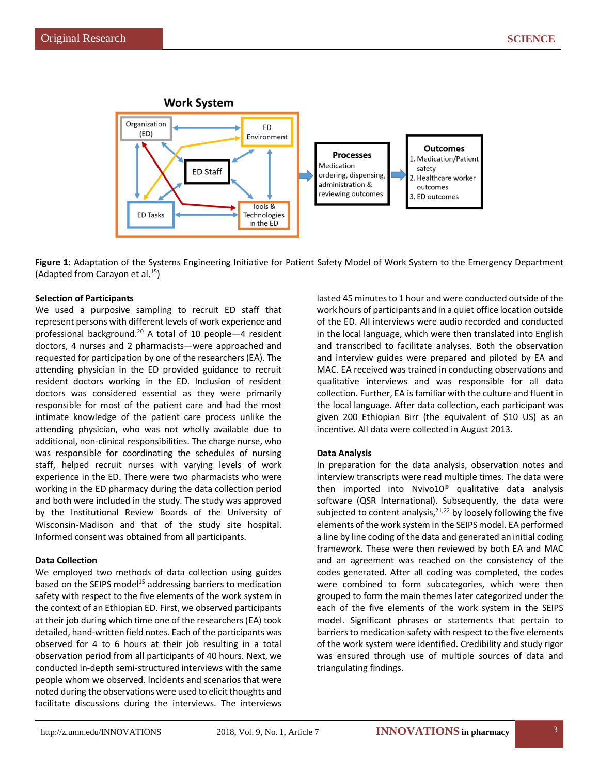

**Figure 1**: Adaptation of the Systems Engineering Initiative for Patient Safety Model of Work System to the Emergency Department (Adapted from Carayon et al.15)

## **Selection of Participants**

We used a purposive sampling to recruit ED staff that represent persons with different levels of work experience and professional background.20 A total of 10 people—4 resident doctors, 4 nurses and 2 pharmacists—were approached and requested for participation by one of the researchers (EA). The attending physician in the ED provided guidance to recruit resident doctors working in the ED. Inclusion of resident doctors was considered essential as they were primarily responsible for most of the patient care and had the most intimate knowledge of the patient care process unlike the attending physician, who was not wholly available due to additional, non-clinical responsibilities. The charge nurse, who was responsible for coordinating the schedules of nursing staff, helped recruit nurses with varying levels of work experience in the ED. There were two pharmacists who were working in the ED pharmacy during the data collection period and both were included in the study. The study was approved by the Institutional Review Boards of the University of Wisconsin-Madison and that of the study site hospital. Informed consent was obtained from all participants.

#### **Data Collection**

We employed two methods of data collection using guides based on the SEIPS model<sup>15</sup> addressing barriers to medication safety with respect to the five elements of the work system in the context of an Ethiopian ED. First, we observed participants at their job during which time one of the researchers (EA) took detailed, hand-written field notes. Each of the participants was observed for 4 to 6 hours at their job resulting in a total observation period from all participants of 40 hours. Next, we conducted in-depth semi-structured interviews with the same people whom we observed. Incidents and scenarios that were noted during the observations were used to elicit thoughts and facilitate discussions during the interviews. The interviews lasted 45 minutes to 1 hour and were conducted outside of the work hours of participants and in a quiet office location outside of the ED. All interviews were audio recorded and conducted in the local language, which were then translated into English and transcribed to facilitate analyses. Both the observation and interview guides were prepared and piloted by EA and MAC. EA received was trained in conducting observations and qualitative interviews and was responsible for all data collection. Further, EA is familiar with the culture and fluent in the local language. After data collection, each participant was given 200 Ethiopian Birr (the equivalent of \$10 US) as an incentive. All data were collected in August 2013.

# **Data Analysis**

In preparation for the data analysis, observation notes and interview transcripts were read multiple times. The data were then imported into Nvivo10® qualitative data analysis software (QSR International). Subsequently, the data were subjected to content analysis,  $21,22$  by loosely following the five elements of the work system in the SEIPS model. EA performed a line by line coding of the data and generated an initial coding framework. These were then reviewed by both EA and MAC and an agreement was reached on the consistency of the codes generated. After all coding was completed, the codes were combined to form subcategories, which were then grouped to form the main themes later categorized under the each of the five elements of the work system in the SEIPS model. Significant phrases or statements that pertain to barriers to medication safety with respect to the five elements of the work system were identified. Credibility and study rigor was ensured through use of multiple sources of data and triangulating findings.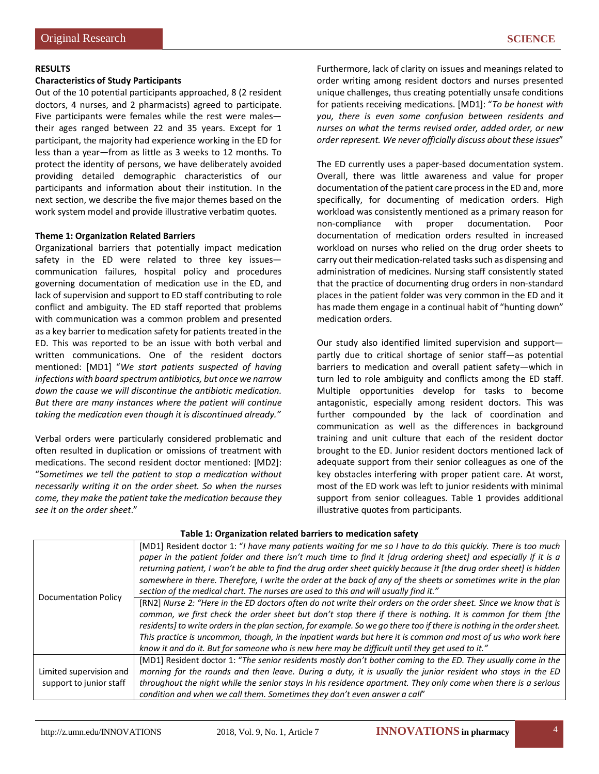#### **Characteristics of Study Participants**

Out of the 10 potential participants approached, 8 (2 resident doctors, 4 nurses, and 2 pharmacists) agreed to participate. Five participants were females while the rest were males their ages ranged between 22 and 35 years. Except for 1 participant, the majority had experience working in the ED for less than a year—from as little as 3 weeks to 12 months. To protect the identity of persons, we have deliberately avoided providing detailed demographic characteristics of our participants and information about their institution. In the next section, we describe the five major themes based on the work system model and provide illustrative verbatim quotes.

#### **Theme 1: Organization Related Barriers**

Organizational barriers that potentially impact medication safety in the ED were related to three key issues communication failures, hospital policy and procedures governing documentation of medication use in the ED, and lack of supervision and support to ED staff contributing to role conflict and ambiguity. The ED staff reported that problems with communication was a common problem and presented as a key barrier to medication safety for patients treated in the ED. This was reported to be an issue with both verbal and written communications. One of the resident doctors mentioned: [MD1] "*We start patients suspected of having infections with board spectrum antibiotics, but once we narrow down the cause we will discontinue the antibiotic medication. But there are many instances where the patient will continue taking the medication even though it is discontinued already."*

Verbal orders were particularly considered problematic and often resulted in duplication or omissions of treatment with medications. The second resident doctor mentioned: [MD2]: "S*ometimes we tell the patient to stop a medication without necessarily writing it on the order sheet. So when the nurses come, they make the patient take the medication because they see it on the order sheet*."

Furthermore, lack of clarity on issues and meanings related to order writing among resident doctors and nurses presented unique challenges, thus creating potentially unsafe conditions for patients receiving medications. [MD1]: "*To be honest with you, there is even some confusion between residents and nurses on what the terms revised order, added order, or new order represent. We never officially discuss about these issues*"

The ED currently uses a paper-based documentation system. Overall, there was little awareness and value for proper documentation of the patient care process in the ED and, more specifically, for documenting of medication orders. High workload was consistently mentioned as a primary reason for non-compliance with proper documentation. Poor documentation of medication orders resulted in increased workload on nurses who relied on the drug order sheets to carry out their medication-related tasks such as dispensing and administration of medicines. Nursing staff consistently stated that the practice of documenting drug orders in non-standard places in the patient folder was very common in the ED and it has made them engage in a continual habit of "hunting down" medication orders.

Our study also identified limited supervision and support partly due to critical shortage of senior staff—as potential barriers to medication and overall patient safety—which in turn led to role ambiguity and conflicts among the ED staff. Multiple opportunities develop for tasks to become antagonistic, especially among resident doctors. This was further compounded by the lack of coordination and communication as well as the differences in background training and unit culture that each of the resident doctor brought to the ED. Junior resident doctors mentioned lack of adequate support from their senior colleagues as one of the key obstacles interfering with proper patient care. At worst, most of the ED work was left to junior residents with minimal support from senior colleagues. Table 1 provides additional illustrative quotes from participants.

| <b>Documentation Policy</b> | [MD1] Resident doctor 1: "I have many patients waiting for me so I have to do this quickly. There is too much<br>paper in the patient folder and there isn't much time to find it [drug ordering sheet] and especially if it is a<br>returning patient, I won't be able to find the drug order sheet quickly because it [the drug order sheet] is hidden<br>somewhere in there. Therefore, I write the order at the back of any of the sheets or sometimes write in the plan<br>section of the medical chart. The nurses are used to this and will usually find it." |
|-----------------------------|----------------------------------------------------------------------------------------------------------------------------------------------------------------------------------------------------------------------------------------------------------------------------------------------------------------------------------------------------------------------------------------------------------------------------------------------------------------------------------------------------------------------------------------------------------------------|
|                             | [RN2] Nurse 2: "Here in the ED doctors often do not write their orders on the order sheet. Since we know that is<br>common, we first check the order sheet but don't stop there if there is nothing. It is common for them [the<br>residents] to write orders in the plan section, for example. So we go there too if there is nothing in the order sheet.<br>This practice is uncommon, though, in the inpatient wards but here it is common and most of us who work here                                                                                           |
|                             | know it and do it. But for someone who is new here may be difficult until they get used to it."                                                                                                                                                                                                                                                                                                                                                                                                                                                                      |
| Limited supervision and     | [MD1] Resident doctor 1: "The senior residents mostly don't bother coming to the ED. They usually come in the                                                                                                                                                                                                                                                                                                                                                                                                                                                        |
|                             | morning for the rounds and then leave. During a duty, it is usually the junior resident who stays in the ED                                                                                                                                                                                                                                                                                                                                                                                                                                                          |
| support to junior staff     | throughout the night while the senior stays in his residence apartment. They only come when there is a serious                                                                                                                                                                                                                                                                                                                                                                                                                                                       |
|                             | condition and when we call them. Sometimes they don't even answer a call"                                                                                                                                                                                                                                                                                                                                                                                                                                                                                            |

#### **Table 1: Organization related barriers to medication safety**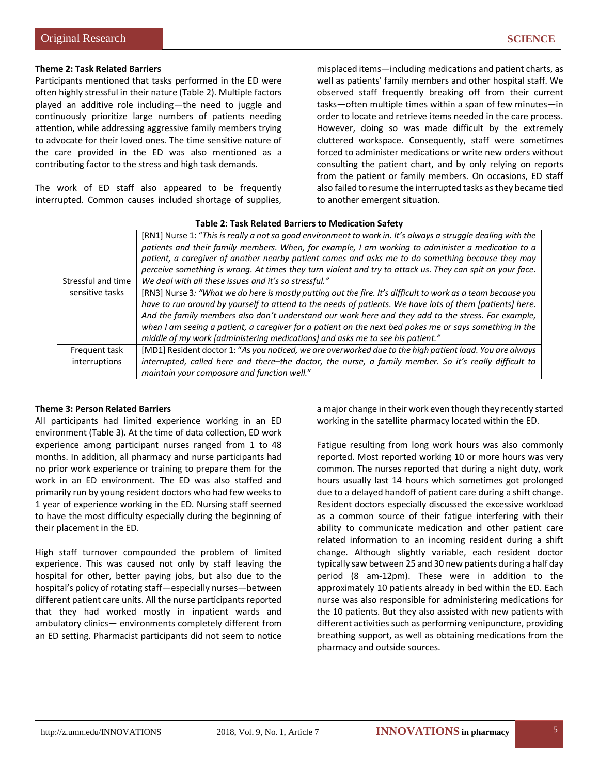## **Theme 2: Task Related Barriers**

Participants mentioned that tasks performed in the ED were often highly stressful in their nature (Table 2). Multiple factors played an additive role including—the need to juggle and continuously prioritize large numbers of patients needing attention, while addressing aggressive family members trying to advocate for their loved ones. The time sensitive nature of the care provided in the ED was also mentioned as a contributing factor to the stress and high task demands.

The work of ED staff also appeared to be frequently interrupted. Common causes included shortage of supplies,

misplaced items—including medications and patient charts, as well as patients' family members and other hospital staff. We observed staff frequently breaking off from their current tasks—often multiple times within a span of few minutes—in order to locate and retrieve items needed in the care process. However, doing so was made difficult by the extremely cluttered workspace. Consequently, staff were sometimes forced to administer medications or write new orders without consulting the patient chart, and by only relying on reports from the patient or family members. On occasions, ED staff also failed to resume the interrupted tasks as they became tied to another emergent situation.

| Stressful and time<br>sensitive tasks | [RN1] Nurse 1: "This is really a not so good environment to work in. It's always a struggle dealing with the<br>patients and their family members. When, for example, I am working to administer a medication to a<br>patient, a caregiver of another nearby patient comes and asks me to do something because they may<br>perceive something is wrong. At times they turn violent and try to attack us. They can spit on your face.<br>We deal with all these issues and it's so stressful."                                |  |
|---------------------------------------|------------------------------------------------------------------------------------------------------------------------------------------------------------------------------------------------------------------------------------------------------------------------------------------------------------------------------------------------------------------------------------------------------------------------------------------------------------------------------------------------------------------------------|--|
|                                       | [RN3] Nurse 3: "What we do here is mostly putting out the fire. It's difficult to work as a team because you<br>have to run around by yourself to attend to the needs of patients. We have lots of them [patients] here.<br>And the family members also don't understand our work here and they add to the stress. For example,<br>when I am seeing a patient, a caregiver for a patient on the next bed pokes me or says something in the<br>middle of my work [administering medications] and asks me to see his patient." |  |
| Frequent task                         | [MD1] Resident doctor 1: "As you noticed, we are overworked due to the high patient load. You are always                                                                                                                                                                                                                                                                                                                                                                                                                     |  |
| interruptions                         | interrupted, called here and there-the doctor, the nurse, a family member. So it's really difficult to<br>maintain your composure and function well."                                                                                                                                                                                                                                                                                                                                                                        |  |

#### **Table 2: Task Related Barriers to Medication Safety**

#### **Theme 3: Person Related Barriers**

All participants had limited experience working in an ED environment (Table 3). At the time of data collection, ED work experience among participant nurses ranged from 1 to 48 months. In addition, all pharmacy and nurse participants had no prior work experience or training to prepare them for the work in an ED environment. The ED was also staffed and primarily run by young resident doctors who had few weeks to 1 year of experience working in the ED. Nursing staff seemed to have the most difficulty especially during the beginning of their placement in the ED.

High staff turnover compounded the problem of limited experience. This was caused not only by staff leaving the hospital for other, better paying jobs, but also due to the hospital's policy of rotating staff—especially nurses—between different patient care units. All the nurse participants reported that they had worked mostly in inpatient wards and ambulatory clinics— environments completely different from an ED setting. Pharmacist participants did not seem to notice a major change in their work even though they recently started working in the satellite pharmacy located within the ED.

Fatigue resulting from long work hours was also commonly reported. Most reported working 10 or more hours was very common. The nurses reported that during a night duty, work hours usually last 14 hours which sometimes got prolonged due to a delayed handoff of patient care during a shift change. Resident doctors especially discussed the excessive workload as a common source of their fatigue interfering with their ability to communicate medication and other patient care related information to an incoming resident during a shift change. Although slightly variable, each resident doctor typically saw between 25 and 30 new patients during a half day period (8 am-12pm). These were in addition to the approximately 10 patients already in bed within the ED. Each nurse was also responsible for administering medications for the 10 patients. But they also assisted with new patients with different activities such as performing venipuncture, providing breathing support, as well as obtaining medications from the pharmacy and outside sources.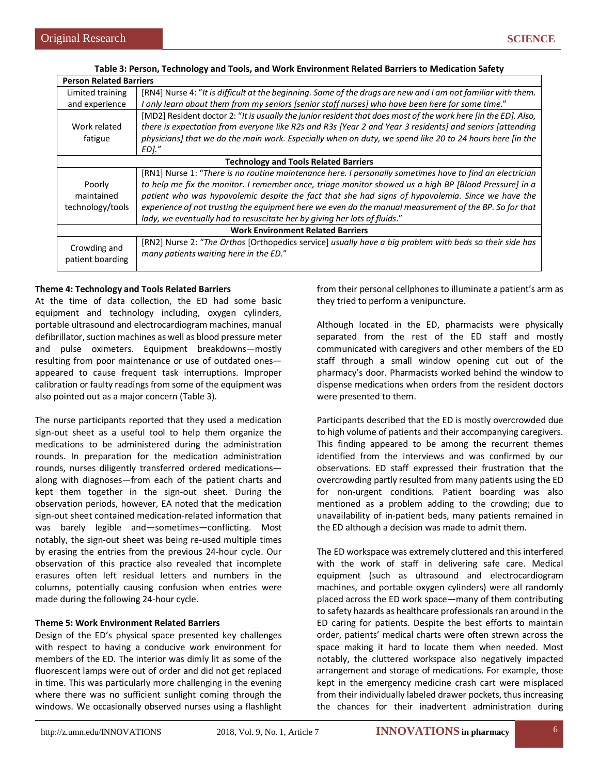| <b>Person Related Barriers</b>               |                                                                                                                                                                                                                                                                                                                                                                                                                                                                                                               |  |
|----------------------------------------------|---------------------------------------------------------------------------------------------------------------------------------------------------------------------------------------------------------------------------------------------------------------------------------------------------------------------------------------------------------------------------------------------------------------------------------------------------------------------------------------------------------------|--|
| Limited training                             | [RN4] Nurse 4: "It is difficult at the beginning. Some of the drugs are new and I am not familiar with them.                                                                                                                                                                                                                                                                                                                                                                                                  |  |
| and experience                               | I only learn about them from my seniors [senior staff nurses] who have been here for some time."                                                                                                                                                                                                                                                                                                                                                                                                              |  |
| Work related<br>fatigue                      | [MD2] Resident doctor 2: "It is usually the junior resident that does most of the work here [in the ED]. Also,<br>there is expectation from everyone like R2s and R3s [Year 2 and Year 3 residents] and seniors [attending<br>physicians] that we do the main work. Especially when on duty, we spend like 20 to 24 hours here [in the<br>EDI."                                                                                                                                                               |  |
| <b>Technology and Tools Related Barriers</b> |                                                                                                                                                                                                                                                                                                                                                                                                                                                                                                               |  |
| Poorly<br>maintained<br>technology/tools     | [RN1] Nurse 1: "There is no routine maintenance here. I personally sometimes have to find an electrician<br>to help me fix the monitor. I remember once, triage monitor showed us a high BP [Blood Pressure] in a<br>patient who was hypovolemic despite the fact that she had signs of hypovolemia. Since we have the<br>experience of not trusting the equipment here we even do the manual measurement of the BP. So for that<br>lady, we eventually had to resuscitate her by giving her lots of fluids." |  |
| <b>Work Environment Related Barriers</b>     |                                                                                                                                                                                                                                                                                                                                                                                                                                                                                                               |  |
| Crowding and<br>patient boarding             | [RN2] Nurse 2: "The Orthos [Orthopedics service] usually have a big problem with beds so their side has<br>many patients waiting here in the ED."                                                                                                                                                                                                                                                                                                                                                             |  |

#### **Table 3: Person, Technology and Tools, and Work Environment Related Barriers to Medication Safety**

## **Theme 4: Technology and Tools Related Barriers**

At the time of data collection, the ED had some basic equipment and technology including, oxygen cylinders, portable ultrasound and electrocardiogram machines, manual defibrillator, suction machines as well as blood pressure meter and pulse oximeters. Equipment breakdowns—mostly resulting from poor maintenance or use of outdated ones appeared to cause frequent task interruptions. Improper calibration or faulty readings from some of the equipment was also pointed out as a major concern (Table 3).

The nurse participants reported that they used a medication sign-out sheet as a useful tool to help them organize the medications to be administered during the administration rounds. In preparation for the medication administration rounds, nurses diligently transferred ordered medications along with diagnoses—from each of the patient charts and kept them together in the sign-out sheet. During the observation periods, however, EA noted that the medication sign-out sheet contained medication-related information that was barely legible and—sometimes—conflicting. Most notably, the sign-out sheet was being re-used multiple times by erasing the entries from the previous 24-hour cycle. Our observation of this practice also revealed that incomplete erasures often left residual letters and numbers in the columns, potentially causing confusion when entries were made during the following 24-hour cycle.

#### **Theme 5: Work Environment Related Barriers**

Design of the ED's physical space presented key challenges with respect to having a conducive work environment for members of the ED. The interior was dimly lit as some of the fluorescent lamps were out of order and did not get replaced in time. This was particularly more challenging in the evening where there was no sufficient sunlight coming through the windows. We occasionally observed nurses using a flashlight from their personal cellphones to illuminate a patient's arm as they tried to perform a venipuncture.

Although located in the ED, pharmacists were physically separated from the rest of the ED staff and mostly communicated with caregivers and other members of the ED staff through a small window opening cut out of the pharmacy's door. Pharmacists worked behind the window to dispense medications when orders from the resident doctors were presented to them.

Participants described that the ED is mostly overcrowded due to high volume of patients and their accompanying caregivers. This finding appeared to be among the recurrent themes identified from the interviews and was confirmed by our observations. ED staff expressed their frustration that the overcrowding partly resulted from many patients using the ED for non-urgent conditions. Patient boarding was also mentioned as a problem adding to the crowding; due to unavailability of in-patient beds, many patients remained in the ED although a decision was made to admit them.

The ED workspace was extremely cluttered and this interfered with the work of staff in delivering safe care. Medical equipment (such as ultrasound and electrocardiogram machines, and portable oxygen cylinders) were all randomly placed across the ED work space—many of them contributing to safety hazards as healthcare professionals ran around in the ED caring for patients. Despite the best efforts to maintain order, patients' medical charts were often strewn across the space making it hard to locate them when needed. Most notably, the cluttered workspace also negatively impacted arrangement and storage of medications. For example, those kept in the emergency medicine crash cart were misplaced from their individually labeled drawer pockets, thus increasing the chances for their inadvertent administration during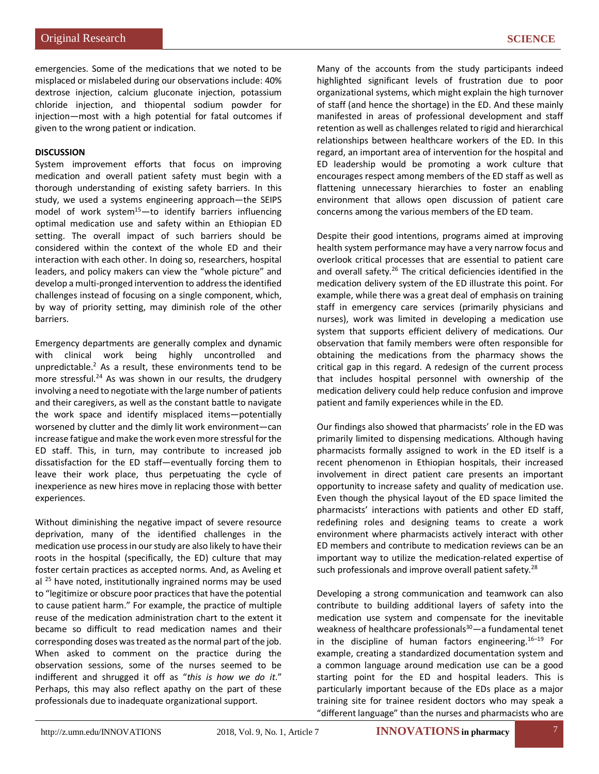emergencies. Some of the medications that we noted to be misplaced or mislabeled during our observations include: 40% dextrose injection, calcium gluconate injection, potassium chloride injection, and thiopental sodium powder for injection—most with a high potential for fatal outcomes if given to the wrong patient or indication.

## **DISCUSSION**

System improvement efforts that focus on improving medication and overall patient safety must begin with a thorough understanding of existing safety barriers. In this study, we used a systems engineering approach—the SEIPS model of work system<sup>15</sup> $-$ to identify barriers influencing optimal medication use and safety within an Ethiopian ED setting. The overall impact of such barriers should be considered within the context of the whole ED and their interaction with each other. In doing so, researchers, hospital leaders, and policy makers can view the "whole picture" and develop a multi-pronged intervention to address the identified challenges instead of focusing on a single component, which, by way of priority setting, may diminish role of the other barriers.

Emergency departments are generally complex and dynamic with clinical work being highly uncontrolled and unpredictable.2 As a result, these environments tend to be more stressful.<sup>24</sup> As was shown in our results, the drudgery involving a need to negotiate with the large number of patients and their caregivers, as well as the constant battle to navigate the work space and identify misplaced items—potentially worsened by clutter and the dimly lit work environment—can increase fatigue and make the work even more stressful for the ED staff. This, in turn, may contribute to increased job dissatisfaction for the ED staff—eventually forcing them to leave their work place, thus perpetuating the cycle of inexperience as new hires move in replacing those with better experiences.

Without diminishing the negative impact of severe resource deprivation, many of the identified challenges in the medication use process in our study are also likely to have their roots in the hospital (specifically, the ED) culture that may foster certain practices as accepted norms. And, as Aveling et al  $^{25}$  have noted, institutionally ingrained norms may be used to "legitimize or obscure poor practices that have the potential to cause patient harm." For example, the practice of multiple reuse of the medication administration chart to the extent it became so difficult to read medication names and their corresponding doses was treated as the normal part of the job. When asked to comment on the practice during the observation sessions, some of the nurses seemed to be indifferent and shrugged it off as "*this is how we do it*." Perhaps, this may also reflect apathy on the part of these professionals due to inadequate organizational support.

Many of the accounts from the study participants indeed highlighted significant levels of frustration due to poor organizational systems, which might explain the high turnover of staff (and hence the shortage) in the ED. And these mainly manifested in areas of professional development and staff retention as well as challenges related to rigid and hierarchical relationships between healthcare workers of the ED. In this regard, an important area of intervention for the hospital and ED leadership would be promoting a work culture that encourages respect among members of the ED staff as well as flattening unnecessary hierarchies to foster an enabling environment that allows open discussion of patient care concerns among the various members of the ED team.

Despite their good intentions, programs aimed at improving health system performance may have a very narrow focus and overlook critical processes that are essential to patient care and overall safety.<sup>26</sup> The critical deficiencies identified in the medication delivery system of the ED illustrate this point. For example, while there was a great deal of emphasis on training staff in emergency care services (primarily physicians and nurses), work was limited in developing a medication use system that supports efficient delivery of medications. Our observation that family members were often responsible for obtaining the medications from the pharmacy shows the critical gap in this regard. A redesign of the current process that includes hospital personnel with ownership of the medication delivery could help reduce confusion and improve patient and family experiences while in the ED.

Our findings also showed that pharmacists' role in the ED was primarily limited to dispensing medications. Although having pharmacists formally assigned to work in the ED itself is a recent phenomenon in Ethiopian hospitals, their increased involvement in direct patient care presents an important opportunity to increase safety and quality of medication use. Even though the physical layout of the ED space limited the pharmacists' interactions with patients and other ED staff, redefining roles and designing teams to create a work environment where pharmacists actively interact with other ED members and contribute to medication reviews can be an important way to utilize the medication-related expertise of such professionals and improve overall patient safety.<sup>28</sup>

Developing a strong communication and teamwork can also contribute to building additional layers of safety into the medication use system and compensate for the inevitable weakness of healthcare professionals $30$ —a fundamental tenet in the discipline of human factors engineering.<sup>16–19</sup> For example, creating a standardized documentation system and a common language around medication use can be a good starting point for the ED and hospital leaders. This is particularly important because of the EDs place as a major training site for trainee resident doctors who may speak a "different language" than the nurses and pharmacists who are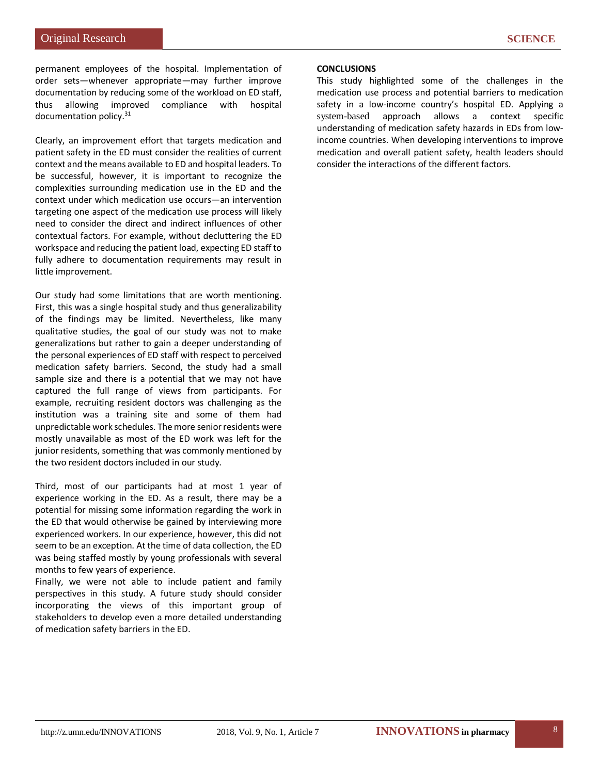permanent employees of the hospital. Implementation of order sets—whenever appropriate—may further improve documentation by reducing some of the workload on ED staff, thus allowing improved compliance with hospital documentation policy.31

Clearly, an improvement effort that targets medication and patient safety in the ED must consider the realities of current context and the means available to ED and hospital leaders. To be successful, however, it is important to recognize the complexities surrounding medication use in the ED and the context under which medication use occurs—an intervention targeting one aspect of the medication use process will likely need to consider the direct and indirect influences of other contextual factors. For example, without decluttering the ED workspace and reducing the patient load, expecting ED staff to fully adhere to documentation requirements may result in little improvement.

Our study had some limitations that are worth mentioning. First, this was a single hospital study and thus generalizability of the findings may be limited. Nevertheless, like many qualitative studies, the goal of our study was not to make generalizations but rather to gain a deeper understanding of the personal experiences of ED staff with respect to perceived medication safety barriers. Second, the study had a small sample size and there is a potential that we may not have captured the full range of views from participants. For example, recruiting resident doctors was challenging as the institution was a training site and some of them had unpredictable work schedules. The more senior residents were mostly unavailable as most of the ED work was left for the junior residents, something that was commonly mentioned by the two resident doctors included in our study.

Third, most of our participants had at most 1 year of experience working in the ED. As a result, there may be a potential for missing some information regarding the work in the ED that would otherwise be gained by interviewing more experienced workers. In our experience, however, this did not seem to be an exception. At the time of data collection, the ED was being staffed mostly by young professionals with several months to few years of experience.

Finally, we were not able to include patient and family perspectives in this study. A future study should consider incorporating the views of this important group of stakeholders to develop even a more detailed understanding of medication safety barriers in the ED.

## **CONCLUSIONS**

This study highlighted some of the challenges in the medication use process and potential barriers to medication safety in a low-income country's hospital ED. Applying a system-based approach allows a context specific understanding of medication safety hazards in EDs from lowincome countries. When developing interventions to improve medication and overall patient safety, health leaders should consider the interactions of the different factors.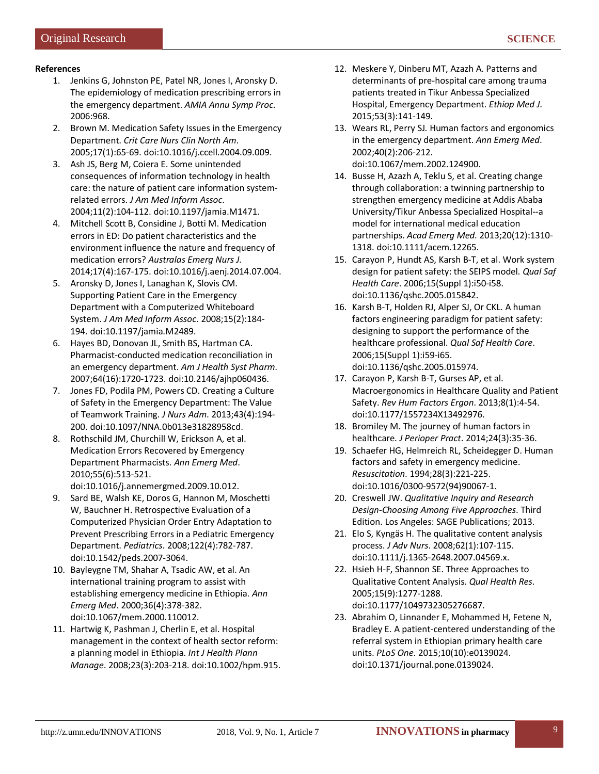# **References**

- 1. Jenkins G, Johnston PE, Patel NR, Jones I, Aronsky D. The epidemiology of medication prescribing errors in the emergency department. *AMIA Annu Symp Proc*. 2006:968.
- 2. Brown M. Medication Safety Issues in the Emergency Department. *Crit Care Nurs Clin North Am*. 2005;17(1):65-69. doi:10.1016/j.ccell.2004.09.009.
- 3. Ash JS, Berg M, Coiera E. Some unintended consequences of information technology in health care: the nature of patient care information systemrelated errors. *J Am Med Inform Assoc*. 2004;11(2):104-112. doi:10.1197/jamia.M1471.
- 4. Mitchell Scott B, Considine J, Botti M. Medication errors in ED: Do patient characteristics and the environment influence the nature and frequency of medication errors? *Australas Emerg Nurs J*. 2014;17(4):167-175. doi:10.1016/j.aenj.2014.07.004.
- 5. Aronsky D, Jones I, Lanaghan K, Slovis CM. Supporting Patient Care in the Emergency Department with a Computerized Whiteboard System. *J Am Med Inform Assoc*. 2008;15(2):184- 194. doi:10.1197/jamia.M2489.
- 6. Hayes BD, Donovan JL, Smith BS, Hartman CA. Pharmacist-conducted medication reconciliation in an emergency department. *Am J Health Syst Pharm*. 2007;64(16):1720-1723. doi:10.2146/ajhp060436.
- 7. Jones FD, Podila PM, Powers CD. Creating a Culture of Safety in the Emergency Department: The Value of Teamwork Training. *J Nurs Adm*. 2013;43(4):194- 200. doi:10.1097/NNA.0b013e31828958cd.
- 8. Rothschild JM, Churchill W, Erickson A, et al. Medication Errors Recovered by Emergency Department Pharmacists. *Ann Emerg Med*. 2010;55(6):513-521.

doi:10.1016/j.annemergmed.2009.10.012.

- 9. Sard BE, Walsh KE, Doros G, Hannon M, Moschetti W, Bauchner H. Retrospective Evaluation of a Computerized Physician Order Entry Adaptation to Prevent Prescribing Errors in a Pediatric Emergency Department. *Pediatrics*. 2008;122(4):782-787. doi:10.1542/peds.2007-3064.
- 10. Bayleygne TM, Shahar A, Tsadic AW, et al. An international training program to assist with establishing emergency medicine in Ethiopia. *Ann Emerg Med*. 2000;36(4):378-382. doi:10.1067/mem.2000.110012.
- 11. Hartwig K, Pashman J, Cherlin E, et al. Hospital management in the context of health sector reform: a planning model in Ethiopia. *Int J Health Plann Manage*. 2008;23(3):203-218. doi:10.1002/hpm.915.
- 12. Meskere Y, Dinberu MT, Azazh A. Patterns and determinants of pre-hospital care among trauma patients treated in Tikur Anbessa Specialized Hospital, Emergency Department. *Ethiop Med J*. 2015;53(3):141-149.
- 13. Wears RL, Perry SJ. Human factors and ergonomics in the emergency department. *Ann Emerg Med*. 2002;40(2):206-212. doi:10.1067/mem.2002.124900.
- 14. Busse H, Azazh A, Teklu S, et al. Creating change through collaboration: a twinning partnership to strengthen emergency medicine at Addis Ababa University/Tikur Anbessa Specialized Hospital--a model for international medical education partnerships. *Acad Emerg Med.* 2013;20(12):1310- 1318. doi:10.1111/acem.12265.
- 15. Carayon P, Hundt AS, Karsh B-T, et al. Work system design for patient safety: the SEIPS model. *Qual Saf Health Care*. 2006;15(Suppl 1):i50-i58. doi:10.1136/qshc.2005.015842.
- 16. Karsh B-T, Holden RJ, Alper SJ, Or CKL. A human factors engineering paradigm for patient safety: designing to support the performance of the healthcare professional. *Qual Saf Health Care*. 2006;15(Suppl 1):i59-i65. doi:10.1136/qshc.2005.015974.
- 17. Carayon P, Karsh B-T, Gurses AP, et al. Macroergonomics in Healthcare Quality and Patient Safety. *Rev Hum Factors Ergon*. 2013;8(1):4-54. doi:10.1177/1557234X13492976.
- 18. Bromiley M. The journey of human factors in healthcare. *J Perioper Pract*. 2014;24(3):35-36.
- 19. Schaefer HG, Helmreich RL, Scheidegger D. Human factors and safety in emergency medicine. *Resuscitation*. 1994;28(3):221-225. doi:10.1016/0300-9572(94)90067-1.
- 20. Creswell JW. *Qualitative Inquiry and Research Design-Choosing Among Five Approaches*. Third Edition. Los Angeles: SAGE Publications; 2013.
- 21. Elo S, Kyngäs H. The qualitative content analysis process. *J Adv Nurs*. 2008;62(1):107-115. doi:10.1111/j.1365-2648.2007.04569.x.
- 22. Hsieh H-F, Shannon SE. Three Approaches to Qualitative Content Analysis. *Qual Health Res*. 2005;15(9):1277-1288. doi:10.1177/1049732305276687.
- 23. Abrahim O, Linnander E, Mohammed H, Fetene N, Bradley E. A patient-centered understanding of the referral system in Ethiopian primary health care units. *PLoS One*. 2015;10(10):e0139024. doi:10.1371/journal.pone.0139024.